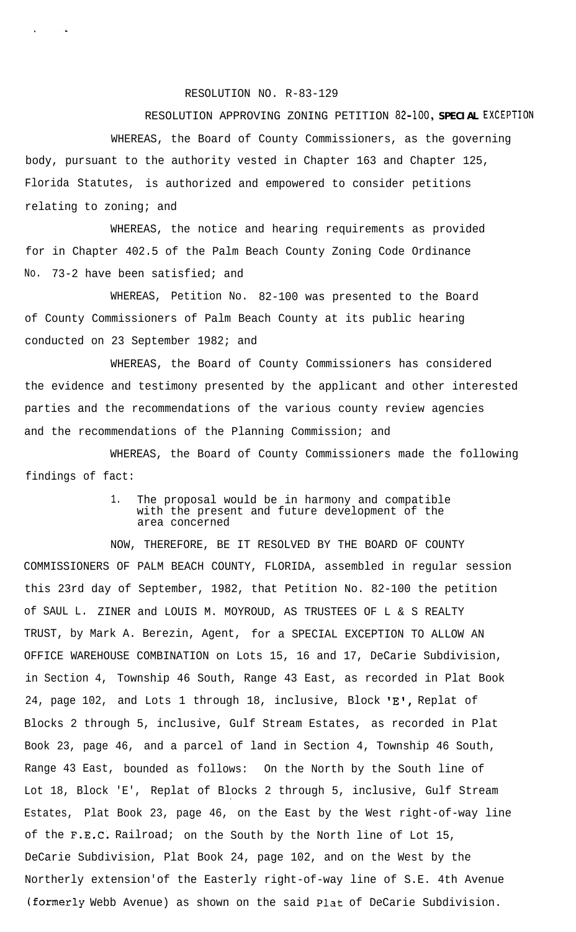RESOLUTION NO. R-83-129

## RESOLUTION APPROVING ZONING PETITION **82-100, SPECIAL EXCEPTION**

WHEREAS, the Board of County Commissioners, as the governing body, pursuant to the authority vested in Chapter 163 and Chapter 125, Florida Statutes, is authorized and empowered to consider petitions relating to zoning; and

WHEREAS, the notice and hearing requirements as provided for in Chapter 402.5 of the Palm Beach County Zoning Code Ordinance No. 73-2 have been satisfied; and

WHEREAS, Petition No. 82-100 was presented to the Board of County Commissioners of Palm Beach County at its public hearing conducted on 23 September 1982; and

WHEREAS, the Board of County Commissioners has considered the evidence and testimony presented by the applicant and other interested parties and the recommendations of the various county review agencies and the recommendations of the Planning Commission; and

WHEREAS, the Board of County Commissioners made the following findings of fact:

## 1. The proposal would be in harmony and compatible with the present and future development of the area concerned

NOW, THEREFORE, BE IT RESOLVED BY THE BOARD OF COUNTY COMMISSIONERS OF PALM BEACH COUNTY, FLORIDA, assembled in regular session this 23rd day of September, 1982, that Petition No. 82-100 the petition of SAUL L. ZINER and LOUIS M. MOYROUD, AS TRUSTEES OF L & S REALTY TRUST, by Mark A. Berezin, Agent, for a SPECIAL EXCEPTION TO ALLOW AN OFFICE WAREHOUSE COMBINATION on Lots 15, 16 and 17, DeCarie Subdivision, in Section 4, Township 46 South, Range 43 East, as recorded in Plat Book 24, page 102, and Lots 1 through 18, inclusive, Block 'E', Replat of Blocks 2 through 5, inclusive, Gulf Stream Estates, as recorded in Plat Book 23, page 46, and a parcel of land in Section 4, Township 46 South, Range 43 East, bounded as follows: On the North by the South line of Lot 18, Block 'E', Replat of Blocks 2 through 5, inclusive, Gulf Stream Estates, Plat Book 23, page 46, on the East by the West right-of-way line of the F.E.C'. Railroad; on the South by the North line of Lot 15, DeCarie Subdivision, Plat Book 24, page 102, and on the West by the Northerly extension'of the Easterly right-of-way line of S.E. 4th Avenue **(formerly** Webb Avenue) as shown on the said Plat of DeCarie Subdivision.